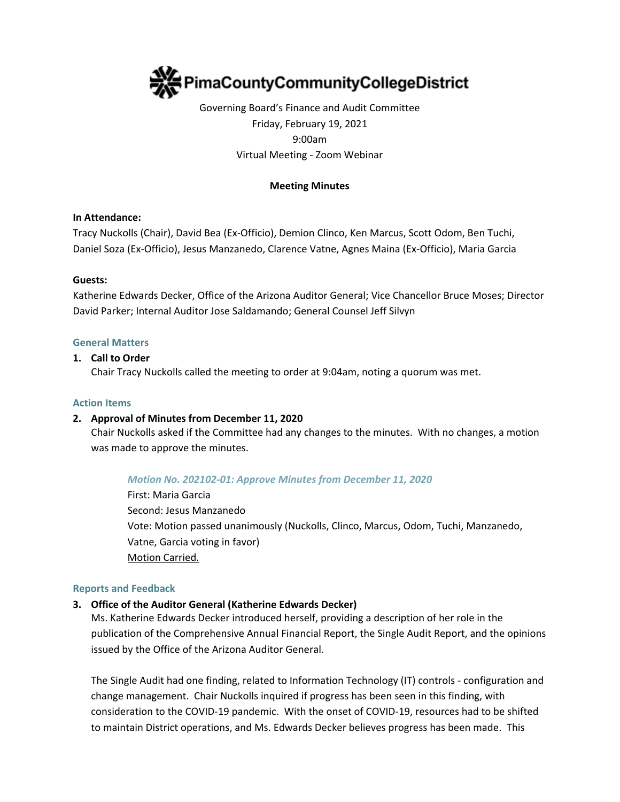

# Governing Board's Finance and Audit Committee Friday, February 19, 2021 9:00am Virtual Meeting - Zoom Webinar

### **Meeting Minutes**

### **In Attendance:**

Tracy Nuckolls (Chair), David Bea (Ex-Officio), Demion Clinco, Ken Marcus, Scott Odom, Ben Tuchi, Daniel Soza (Ex-Officio), Jesus Manzanedo, Clarence Vatne, Agnes Maina (Ex-Officio), Maria Garcia

### **Guests:**

Katherine Edwards Decker, Office of the Arizona Auditor General; Vice Chancellor Bruce Moses; Director David Parker; Internal Auditor Jose Saldamando; General Counsel Jeff Silvyn

#### **General Matters**

#### **1. Call to Order**

Chair Tracy Nuckolls called the meeting to order at 9:04am, noting a quorum was met.

#### **Action Items**

### **2. Approval of Minutes from December 11, 2020**

Chair Nuckolls asked if the Committee had any changes to the minutes. With no changes, a motion was made to approve the minutes.

*Motion No. 202102-01: Approve Minutes from December 11, 2020*

First: Maria Garcia Second: Jesus Manzanedo Vote: Motion passed unanimously (Nuckolls, Clinco, Marcus, Odom, Tuchi, Manzanedo, Vatne, Garcia voting in favor) Motion Carried.

#### **Reports and Feedback**

### **3. Office of the Auditor General (Katherine Edwards Decker)**

Ms. Katherine Edwards Decker introduced herself, providing a description of her role in the publication of the Comprehensive Annual Financial Report, the Single Audit Report, and the opinions issued by the Office of the Arizona Auditor General.

The Single Audit had one finding, related to Information Technology (IT) controls - configuration and change management. Chair Nuckolls inquired if progress has been seen in this finding, with consideration to the COVID-19 pandemic. With the onset of COVID-19, resources had to be shifted to maintain District operations, and Ms. Edwards Decker believes progress has been made. This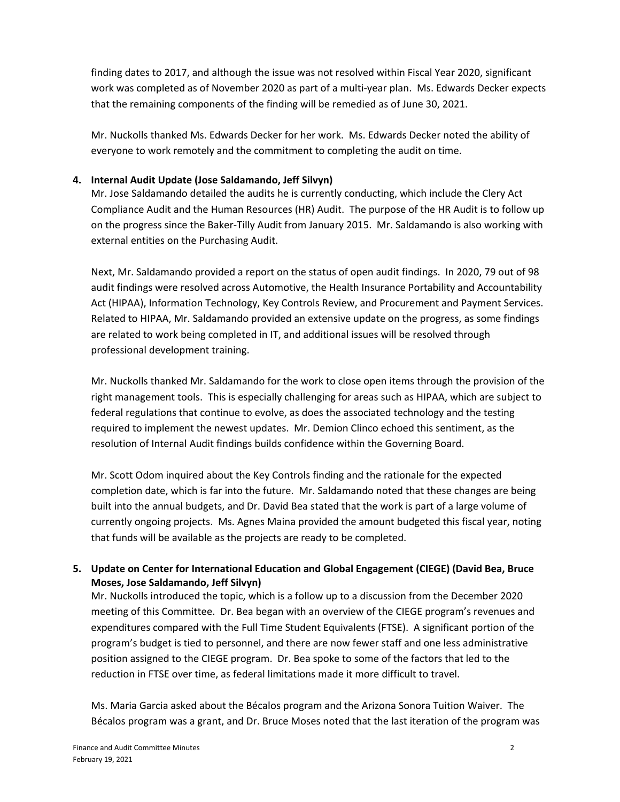finding dates to 2017, and although the issue was not resolved within Fiscal Year 2020, significant work was completed as of November 2020 as part of a multi-year plan. Ms. Edwards Decker expects that the remaining components of the finding will be remedied as of June 30, 2021.

Mr. Nuckolls thanked Ms. Edwards Decker for her work. Ms. Edwards Decker noted the ability of everyone to work remotely and the commitment to completing the audit on time.

### **4. Internal Audit Update (Jose Saldamando, Jeff Silvyn)**

Mr. Jose Saldamando detailed the audits he is currently conducting, which include the Clery Act Compliance Audit and the Human Resources (HR) Audit. The purpose of the HR Audit is to follow up on the progress since the Baker-Tilly Audit from January 2015. Mr. Saldamando is also working with external entities on the Purchasing Audit.

Next, Mr. Saldamando provided a report on the status of open audit findings. In 2020, 79 out of 98 audit findings were resolved across Automotive, the Health Insurance Portability and Accountability Act (HIPAA), Information Technology, Key Controls Review, and Procurement and Payment Services. Related to HIPAA, Mr. Saldamando provided an extensive update on the progress, as some findings are related to work being completed in IT, and additional issues will be resolved through professional development training.

Mr. Nuckolls thanked Mr. Saldamando for the work to close open items through the provision of the right management tools. This is especially challenging for areas such as HIPAA, which are subject to federal regulations that continue to evolve, as does the associated technology and the testing required to implement the newest updates. Mr. Demion Clinco echoed this sentiment, as the resolution of Internal Audit findings builds confidence within the Governing Board.

Mr. Scott Odom inquired about the Key Controls finding and the rationale for the expected completion date, which is far into the future. Mr. Saldamando noted that these changes are being built into the annual budgets, and Dr. David Bea stated that the work is part of a large volume of currently ongoing projects. Ms. Agnes Maina provided the amount budgeted this fiscal year, noting that funds will be available as the projects are ready to be completed.

## **5. Update on Center for International Education and Global Engagement (CIEGE) (David Bea, Bruce Moses, Jose Saldamando, Jeff Silvyn)**

Mr. Nuckolls introduced the topic, which is a follow up to a discussion from the December 2020 meeting of this Committee. Dr. Bea began with an overview of the CIEGE program's revenues and expenditures compared with the Full Time Student Equivalents (FTSE). A significant portion of the program's budget is tied to personnel, and there are now fewer staff and one less administrative position assigned to the CIEGE program. Dr. Bea spoke to some of the factors that led to the reduction in FTSE over time, as federal limitations made it more difficult to travel.

Ms. Maria Garcia asked about the Bécalos program and the Arizona Sonora Tuition Waiver. The Bécalos program was a grant, and Dr. Bruce Moses noted that the last iteration of the program was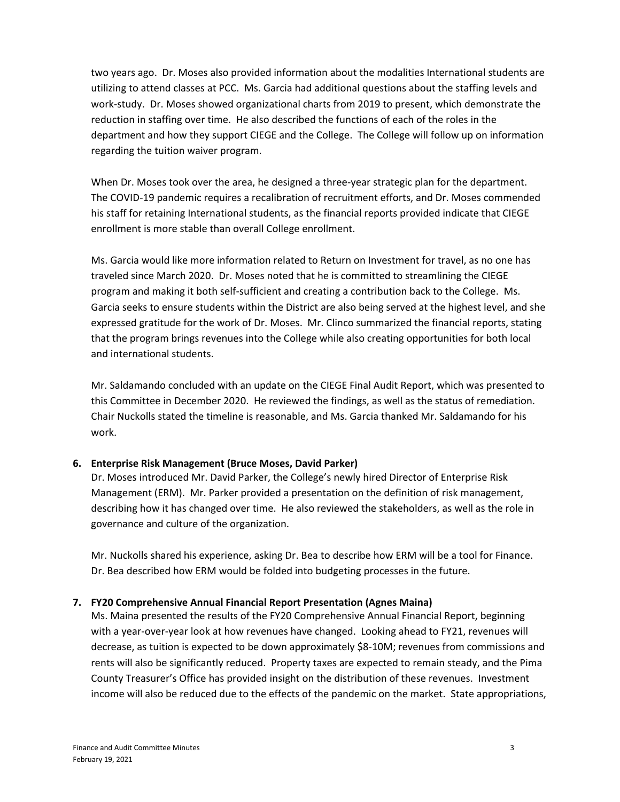two years ago. Dr. Moses also provided information about the modalities International students are utilizing to attend classes at PCC. Ms. Garcia had additional questions about the staffing levels and work-study. Dr. Moses showed organizational charts from 2019 to present, which demonstrate the reduction in staffing over time. He also described the functions of each of the roles in the department and how they support CIEGE and the College. The College will follow up on information regarding the tuition waiver program.

When Dr. Moses took over the area, he designed a three-year strategic plan for the department. The COVID-19 pandemic requires a recalibration of recruitment efforts, and Dr. Moses commended his staff for retaining International students, as the financial reports provided indicate that CIEGE enrollment is more stable than overall College enrollment.

Ms. Garcia would like more information related to Return on Investment for travel, as no one has traveled since March 2020. Dr. Moses noted that he is committed to streamlining the CIEGE program and making it both self-sufficient and creating a contribution back to the College. Ms. Garcia seeks to ensure students within the District are also being served at the highest level, and she expressed gratitude for the work of Dr. Moses. Mr. Clinco summarized the financial reports, stating that the program brings revenues into the College while also creating opportunities for both local and international students.

Mr. Saldamando concluded with an update on the CIEGE Final Audit Report, which was presented to this Committee in December 2020. He reviewed the findings, as well as the status of remediation. Chair Nuckolls stated the timeline is reasonable, and Ms. Garcia thanked Mr. Saldamando for his work.

### **6. Enterprise Risk Management (Bruce Moses, David Parker)**

Dr. Moses introduced Mr. David Parker, the College's newly hired Director of Enterprise Risk Management (ERM). Mr. Parker provided a presentation on the definition of risk management, describing how it has changed over time. He also reviewed the stakeholders, as well as the role in governance and culture of the organization.

Mr. Nuckolls shared his experience, asking Dr. Bea to describe how ERM will be a tool for Finance. Dr. Bea described how ERM would be folded into budgeting processes in the future.

### **7. FY20 Comprehensive Annual Financial Report Presentation (Agnes Maina)**

Ms. Maina presented the results of the FY20 Comprehensive Annual Financial Report, beginning with a year-over-year look at how revenues have changed. Looking ahead to FY21, revenues will decrease, as tuition is expected to be down approximately \$8-10M; revenues from commissions and rents will also be significantly reduced. Property taxes are expected to remain steady, and the Pima County Treasurer's Office has provided insight on the distribution of these revenues. Investment income will also be reduced due to the effects of the pandemic on the market. State appropriations,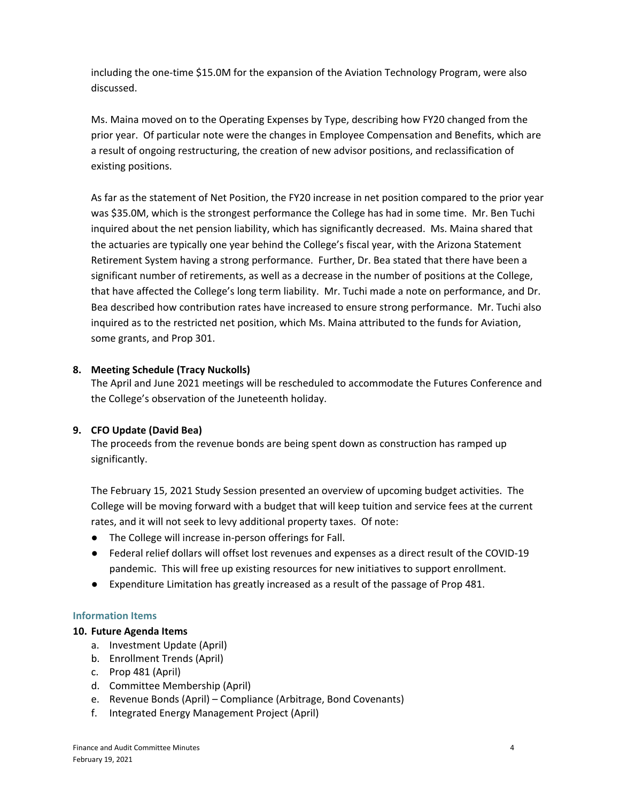including the one-time \$15.0M for the expansion of the Aviation Technology Program, were also discussed.

Ms. Maina moved on to the Operating Expenses by Type, describing how FY20 changed from the prior year. Of particular note were the changes in Employee Compensation and Benefits, which are a result of ongoing restructuring, the creation of new advisor positions, and reclassification of existing positions.

As far as the statement of Net Position, the FY20 increase in net position compared to the prior year was \$35.0M, which is the strongest performance the College has had in some time. Mr. Ben Tuchi inquired about the net pension liability, which has significantly decreased. Ms. Maina shared that the actuaries are typically one year behind the College's fiscal year, with the Arizona Statement Retirement System having a strong performance. Further, Dr. Bea stated that there have been a significant number of retirements, as well as a decrease in the number of positions at the College, that have affected the College's long term liability. Mr. Tuchi made a note on performance, and Dr. Bea described how contribution rates have increased to ensure strong performance. Mr. Tuchi also inquired as to the restricted net position, which Ms. Maina attributed to the funds for Aviation, some grants, and Prop 301.

### **8. Meeting Schedule (Tracy Nuckolls)**

The April and June 2021 meetings will be rescheduled to accommodate the Futures Conference and the College's observation of the Juneteenth holiday.

### **9. CFO Update (David Bea)**

The proceeds from the revenue bonds are being spent down as construction has ramped up significantly.

The February 15, 2021 Study Session presented an overview of upcoming budget activities. The College will be moving forward with a budget that will keep tuition and service fees at the current rates, and it will not seek to levy additional property taxes. Of note:

- The College will increase in-person offerings for Fall.
- Federal relief dollars will offset lost revenues and expenses as a direct result of the COVID-19 pandemic. This will free up existing resources for new initiatives to support enrollment.
- Expenditure Limitation has greatly increased as a result of the passage of Prop 481.

### **Information Items**

### **10. Future Agenda Items**

- a. Investment Update (April)
- b. Enrollment Trends (April)
- c. Prop 481 (April)
- d. Committee Membership (April)
- e. Revenue Bonds (April) Compliance (Arbitrage, Bond Covenants)
- f. Integrated Energy Management Project (April)